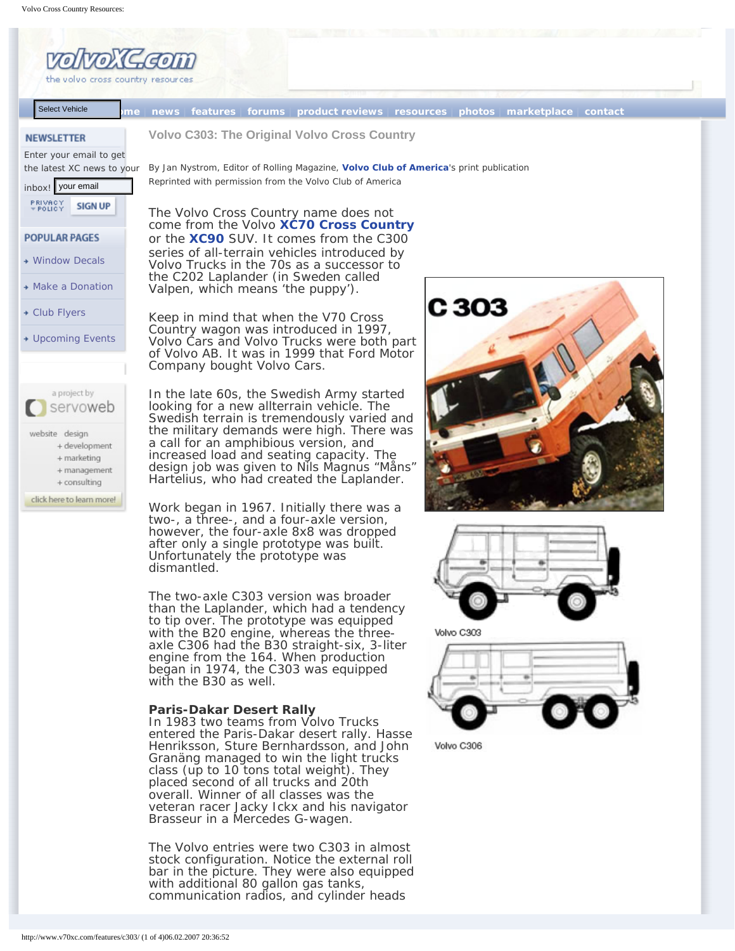# **Volvo C303: The Original Volvo Cross Country**

By Jan Nystrom, Editor of Rolling Magazine, **[Volvo Club of America](http://www.vcoa.org/)**'s print publication Reprinted with permission from the Volvo Club of America

The Volvo Cross Country name does not come from the Volvo **[XC70 Cross Country](http://www.v70xc.com/xc70/index.php)** or the **[XC90](http://www.v70xc.com/xc90/index.php)** SUV. It comes from the C300 series of all-terrain vehicles introduced by Volvo Trucks in the 70s as a successor to the C202 Laplander (in Sweden called Valpen, which means 'the puppy').

Keep in mind that when the V70 Cross Country wagon was introduced in 1997, Volvo Cars and Volvo Trucks were both part of Volvo AB. It was in 1999 that Ford Motor Company bought Volvo Cars.

In the late 60s, the Swedish Army started looking for a new allterrain vehicle. The Swedish terrain is tremendously varied and the military demands were high. There was a call for an amphibious version, and increased load and seating capacity. The design job was given to Nils Magnus "Måns" Hartelius, who had created the Laplander.

Work began in 1967. Initially there was a two-, a three-, and a four-axle version, however, the four-axle 8x8 was dropped after only a single prototype was built. Unfortunately the prototype was dismantled.

The two-axle C303 version was broader than the Laplander, which had a tendency to tip over. The prototype was equipped with the B20 engine, whereas the threeaxle C306 had the B30 straight-six, 3-liter engine from the 164. When production began in 1974, the C303 was equipped with the B30 as well.

## **Paris-Dakar Desert Rally**

In 1983 two teams from Volvo Trucks entered the Paris-Dakar desert rally. Hasse Henriksson, Sture Bernhardsson, and John Granäng managed to win the light trucks class (up to 10 tons total weight). They placed second of all trucks and 20th overall. Winner of all classes was the veteran racer Jacky Ickx and his navigator Brasseur in a Mercedes G-wagen. Volvo C303: T<br>By Jan Nystrom, E<br>Reprinted with per<br>The Volvo Crace from th<br>or the XC90<br>series of all-t<br>Volvo Trucks<br>the C202 Lap<br>Valpen, which<br>Keep in mind<br>Country wage<br>Volvo Cars are<br>of Volvo AB. Company bout<br>In the late

The Volvo entries were two C303 in almost stock configuration. Notice the external roll bar in the picture. They were also equipped with additional 80 gallon gas tanks, communication radios, and cylinder heads





Volvo C303

Volvo C306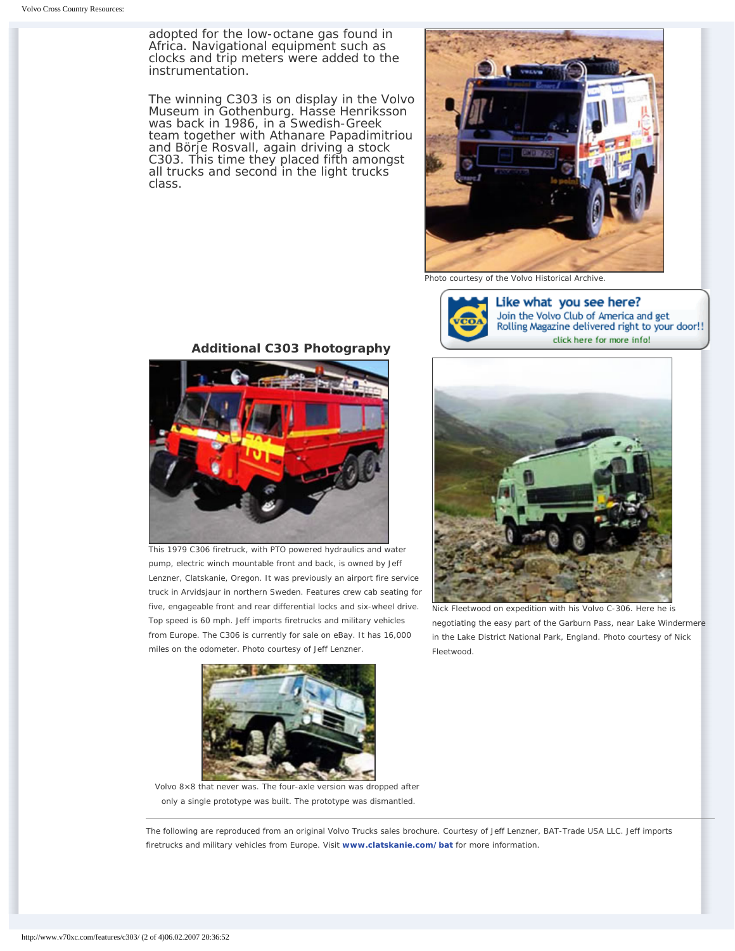adopted for the low-octane gas found in Africa. Navigational equipment such as clocks and trip meters were added to the instrumentation.

The winning C303 is on display in the Volvo Museum in Gothenburg. Hasse Henriksson was back in 1986, in a Swedish-Greek team together with Athanare Papadimitriou and Börje Rosvall, again driving a stock C303. This time they placed fifth amongst all trucks and second in the light trucks class.



Photo courtesy of the Volvo Historical Archive.



Like what you see here? Join the Volvo Club of America and get Rolling Magazine delivered right to your do click here for more info!



Nick Fleetwood on expedition with his Volvo C-306. Here he is negotiating the easy part of the Garburn Pass, near Lake Winder in the Lake District National Park, England. Photo courtesy of Nic Fleetwood.

## **Additional C303 Photography**



This 1979 C306 firetruck, with PTO powered hydraulics and water pump, electric winch mountable front and back, is owned by Jeff Lenzner, Clatskanie, Oregon. It was previously an airport fire service truck in Arvidsjaur in northern Sweden. Features crew cab seating for five, engageable front and rear differential locks and six-wheel drive. Top speed is 60 mph. Jeff imports firetrucks and military vehicles from Europe. The C306 is currently for sale on eBay. It has 16,000 miles on the odometer. Photo courtesy of Jeff Lenzner.



Volvo 8×8 that never was. The four-axle version was dropped after only a single prototype was built. The prototype was dismantled.